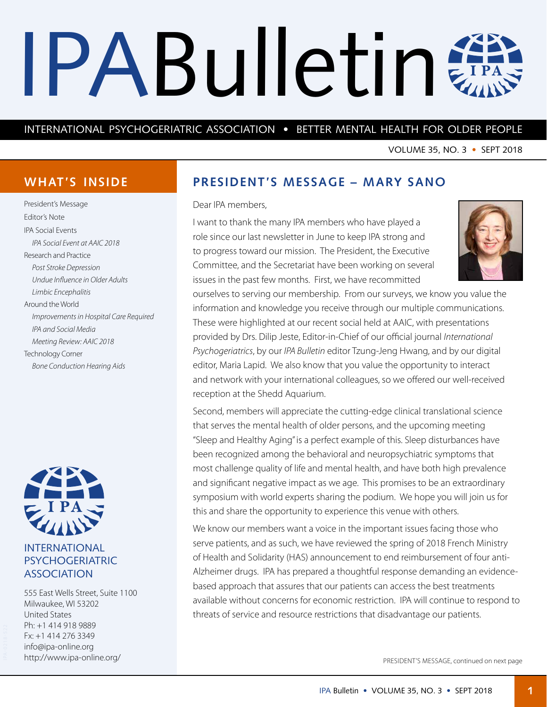# <span id="page-0-0"></span>IPABulletin #

## INTERNATIONAL PSYCHOGERIATRIC ASSOCIATION • BETTER MENTAL HEALTH FOR OLDER PEOPLE

VOLUME 35, NO. 3 • SEPT 2018

## **WHAT'S INSIDE**

President's Message Editor's Note IPA Social Events *IPA Social Event at AAIC 2018* Research and Practice *Post Stroke Depression Undue Influence in Older Adults Limbic Encephalitis* Around the World *Improvements in Hospital Care Required IPA and Social Media Meeting Review: AAIC 2018* Technology Corner *Bone Conduction Hearing Aids*



## INTERNATIONAL PSYCHOGERIATRIC ASSOCIATION

555 East Wells Street, Suite 1100 Milwaukee, WI 53202 United States Ph: +1 414 918 9889 Fx: +1 414 276 3349 [info@ipa-online.org](mailto:info%40ipa-online.org?subject=) <http://www.ipa-online.org/>

## **PRESIDENT'S MESSAGE – MARY SANO**

#### Dear IPA members,

I want to thank the many IPA members who have played a role since our last newsletter in June to keep IPA strong and to progress toward our mission. The President, the Executive Committee, and the Secretariat have been working on several issues in the past few months. First, we have recommitted



ourselves to serving our membership. From our surveys, we know you value the information and knowledge you receive through our multiple communications. These were highlighted at our recent social held at AAIC, with presentations provided by Drs. Dilip Jeste, Editor-in-Chief of our official journal *International Psychogeriatrics*, by our *IPA Bulletin* editor Tzung-Jeng Hwang, and by our digital editor, Maria Lapid. We also know that you value the opportunity to interact and network with your international colleagues, so we offered our well-received reception at the Shedd Aquarium.

Second, members will appreciate the cutting-edge clinical translational science that serves the mental health of older persons, and the upcoming meeting "Sleep and Healthy Aging" is a perfect example of this. Sleep disturbances have been recognized among the behavioral and neuropsychiatric symptoms that most challenge quality of life and mental health, and have both high prevalence and significant negative impact as we age. This promises to be an extraordinary symposium with world experts sharing the podium. We hope you will join us for this and share the opportunity to experience this venue with others.

We know our members want a voice in the important issues facing those who serve patients, and as such, we have reviewed the spring of 2018 French Ministry of Health and Solidarity (HAS) announcement to end reimbursement of four anti-Alzheimer drugs. IPA has prepared a thoughtful response demanding an evidencebased approach that assures that our patients can access the best treatments available without concerns for economic restriction. IPA will continue to respond to threats of service and resource restrictions that disadvantage our patients.

PRESIDENT'S MESSAGE, continued on next page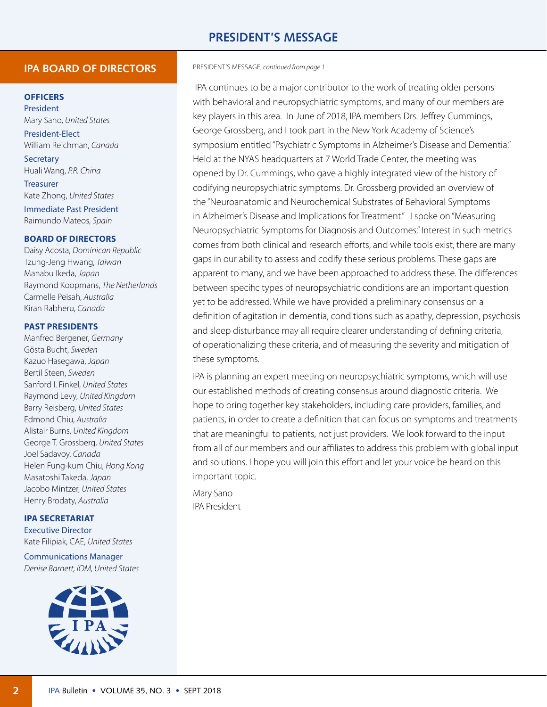## **PRESIDENT'S MESSAGE**

#### **IPA BOARD OF DIRECTORS**

#### **OFFICERS**

President Mary Sano, *United States* President-Elect

William Reichman, *Canada* **Secretary** 

Huali Wang, *P.R. China* Treasurer

Kate Zhong, *United States* Immediate Past President Raimundo Mateos, *Spain*

#### **BOARD OF DIRECTORS**

Daisy Acosta, *Dominican Republic* Tzung-Jeng Hwang, *Taiwan* Manabu Ikeda, *Japan* Raymond Koopmans, *The Netherlands* Carmelle Peisah, *Australia* Kiran Rabheru, *Canada*

#### **PAST PRESIDENTS**

Manfred Bergener, *Germany* Gösta Bucht, *Sweden* Kazuo Hasegawa, *Japan* Bertil Steen, *Sweden* Sanford I. Finkel, *United States* Raymond Levy, *United Kingdom* Barry Reisberg, *United States* Edmond Chiu, *Australia* Alistair Burns, *United Kingdom* George T. Grossberg, *United States* Joel Sadavoy, *Canada* Helen Fung-kum Chiu, *Hong Kong* Masatoshi Takeda, *Japan* Jacobo Mintzer, *United States* Henry Brodaty, *Australia*

#### **IPA SECRETARIAT**

Executive Director Kate Filipiak, CAE, *United States*

Communications Manager *Denise Barnett, IOM, United States*



PRESIDENT'S MESSAGE, *[continued from page](#page-0-0) 1*

 IPA continues to be a major contributor to the work of treating older persons with behavioral and neuropsychiatric symptoms, and many of our members are key players in this area. In June of 2018, IPA members Drs. Jeffrey Cummings, George Grossberg, and I took part in the New York Academy of Science's symposium entitled "Psychiatric Symptoms in Alzheimer's Disease and Dementia." Held at the NYAS headquarters at 7 World Trade Center, the meeting was opened by Dr. Cummings, who gave a highly integrated view of the history of codifying neuropsychiatric symptoms. Dr. Grossberg provided an overview of the "Neuroanatomic and Neurochemical Substrates of Behavioral Symptoms in Alzheimer's Disease and Implications for Treatment." I spoke on "Measuring Neuropsychiatric Symptoms for Diagnosis and Outcomes." Interest in such metrics comes from both clinical and research efforts, and while tools exist, there are many gaps in our ability to assess and codify these serious problems. These gaps are apparent to many, and we have been approached to address these. The differences between specific types of neuropsychiatric conditions are an important question yet to be addressed. While we have provided a preliminary consensus on a definition of agitation in dementia, conditions such as apathy, depression, psychosis and sleep disturbance may all require clearer understanding of defining criteria, of operationalizing these criteria, and of measuring the severity and mitigation of these symptoms.

IPA is planning an expert meeting on neuropsychiatric symptoms, which will use our established methods of creating consensus around diagnostic criteria. We hope to bring together key stakeholders, including care providers, families, and patients, in order to create a definition that can focus on symptoms and treatments that are meaningful to patients, not just providers. We look forward to the input from all of our members and our affiliates to address this problem with global input and solutions. I hope you will join this effort and let your voice be heard on this important topic.

Mary Sano IPA President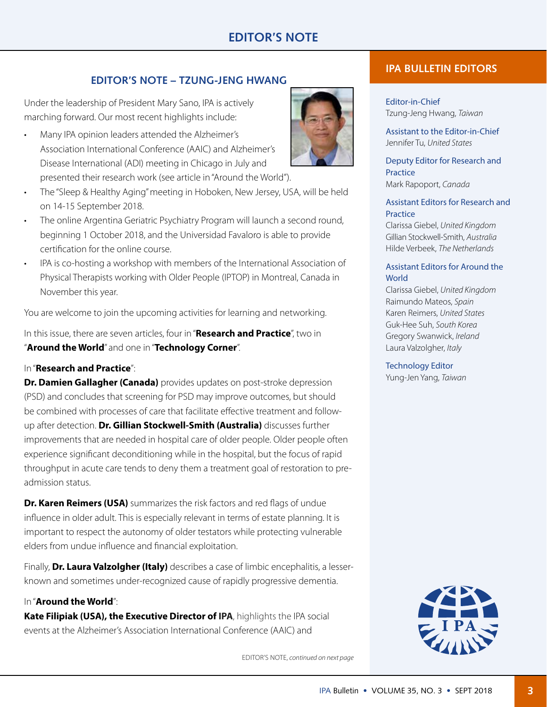## **EDITOR'S NOTE – TZUNG-JENG HWANG**

Under the leadership of President Mary Sano, IPA is actively marching forward. Our most recent highlights include:

- Many IPA opinion leaders attended the Alzheimer's Association International Conference (AAIC) and Alzheimer's Disease International (ADI) meeting in Chicago in July and presented their research work (see article in "Around the World").
- The "Sleep & Healthy Aging" meeting in Hoboken, New Jersey, USA, will be held on 14-15 September 2018.
- The online Argentina Geriatric Psychiatry Program will launch a second round, beginning 1 October 2018, and the Universidad Favaloro is able to provide certification for the online course.
- IPA is co-hosting a workshop with members of the International Association of Physical Therapists working with Older People (IPTOP) in Montreal, Canada in November this year.

You are welcome to join the upcoming activities for learning and networking.

In this issue, there are seven articles, four in "**Research and Practice**", two in "**Around the World**" and one in "**Technology Corner**".

## In "**Research and Practice**":

**Dr. Damien Gallagher (Canada)** provides updates on post-stroke depression (PSD) and concludes that screening for PSD may improve outcomes, but should be combined with processes of care that facilitate effective treatment and followup after detection. **Dr. Gillian Stockwell-Smith (Australia)** discusses further improvements that are needed in hospital care of older people. Older people often experience significant deconditioning while in the hospital, but the focus of rapid throughput in acute care tends to deny them a treatment goal of restoration to preadmission status.

**Dr. Karen Reimers (USA)** summarizes the risk factors and red flags of undue influence in older adult. This is especially relevant in terms of estate planning. It is important to respect the autonomy of older testators while protecting vulnerable elders from undue influence and financial exploitation.

Finally, **Dr. Laura Valzolgher (Italy)** describes a case of limbic encephalitis, a lesserknown and sometimes under-recognized cause of rapidly progressive dementia.

## In "**Around the World**":

**Kate Filipiak (USA), the Executive Director of IPA**, highlights the IPA social events at the Alzheimer's Association International Conference (AAIC) and

EDITOR'S NOTE, *continued on next page*

## **IPA BULLETIN EDITORS**

Editor-in-Chief Tzung-Jeng Hwang, *Taiwan*

Assistant to the Editor-in-Chief Jennifer Tu, *United States*

Deputy Editor for Research and **Practice** Mark Rapoport, *Canada*

Assistant Editors for Research and **Practice** 

Clarissa Giebel, *United Kingdom* Gillian Stockwell-Smith, *Australia* Hilde Verbeek, *The Netherlands*

#### Assistant Editors for Around the **World**

Clarissa Giebel, *United Kingdom* Raimundo Mateos, *Spain* Karen Reimers, *United States* Guk-Hee Suh, *South Korea* Gregory Swanwick, *Ireland* Laura Valzolgher, *Italy*

Technology Editor Yung-Jen Yang, *Taiwan*



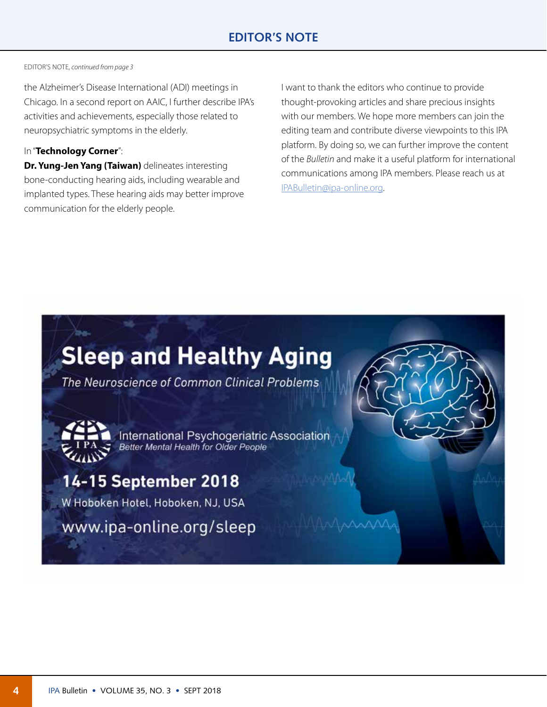#### EDITOR'S NOTE, *continued from page 3*

the Alzheimer's Disease International (ADI) meetings in Chicago. In a second report on AAIC, I further describe IPA's activities and achievements, especially those related to neuropsychiatric symptoms in the elderly.

#### In "**Technology Corner**":

**Dr. Yung-Jen Yang (Taiwan)** delineates interesting bone-conducting hearing aids, including wearable and implanted types. These hearing aids may better improve communication for the elderly people.

I want to thank the editors who continue to provide thought-provoking articles and share precious insights with our members. We hope more members can join the editing team and contribute diverse viewpoints to this IPA platform. By doing so, we can further improve the content of the *Bulletin* and make it a useful platform for international communications among IPA members. Please reach us at [IPABulletin@ipa-online.org.](mailto:IPABulletin%40ipa-online.org?subject=)

# **Sleep and Healthy Aging**

The Neuroscience of Common Clinical Problems

International Psychogeriatric Association Better Mental Health for Older People

## 14-15 September 2018

W Hoboken Hotel, Hoboken, NJ, USA

www.ipa-online.org/sleep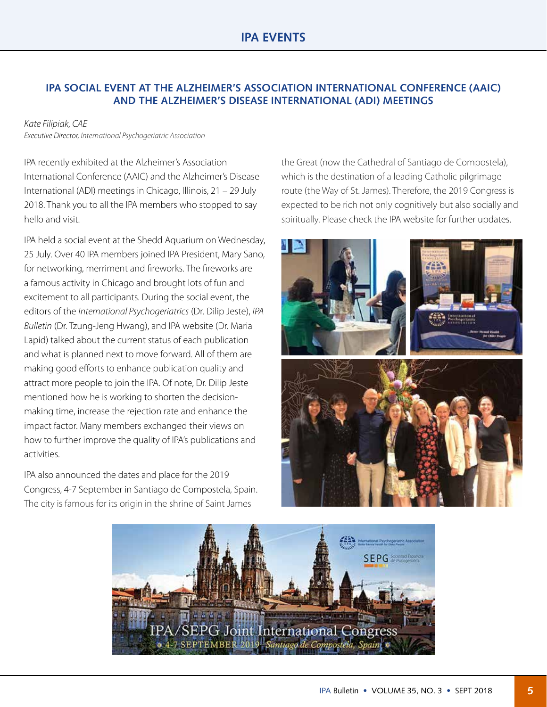## **IPA SOCIAL EVENT AT THE ALZHEIMER'S ASSOCIATION INTERNATIONAL CONFERENCE (AAIC) AND THE ALZHEIMER'S DISEASE INTERNATIONAL (ADI) MEETINGS**

#### *Kate Filipiak, CAE*

*Executive Director, International Psychogeriatric Association*

IPA recently exhibited at the Alzheimer's Association International Conference (AAIC) and the Alzheimer's Disease International (ADI) meetings in Chicago, Illinois, 21 – 29 July 2018. Thank you to all the IPA members who stopped to say hello and visit.

IPA held a social event at the Shedd Aquarium on Wednesday, 25 July. Over 40 IPA members joined IPA President, Mary Sano, for networking, merriment and fireworks. The fireworks are a famous activity in Chicago and brought lots of fun and excitement to all participants. During the social event, the editors of the *International Psychogeriatrics* (Dr. Dilip Jeste), *IPA Bulletin* (Dr. Tzung-Jeng Hwang), and IPA website (Dr. Maria Lapid) talked about the current status of each publication and what is planned next to move forward. All of them are making good efforts to enhance publication quality and attract more people to join the IPA. Of note, Dr. Dilip Jeste mentioned how he is working to shorten the decisionmaking time, increase the rejection rate and enhance the impact factor. Many members exchanged their views on how to further improve the quality of IPA's publications and activities.

IPA also announced the dates and place for the 2019 Congress, 4-7 September in Santiago de Compostela, Spain. The city is famous for its origin in the shrine of Saint James

the Great (now the Cathedral of Santiago de Compostela), which is the destination of a leading Catholic pilgrimage route (the Way of St. James). Therefore, the 2019 Congress is expected to be rich not only cognitively but also socially and spiritually. Please check the IPA website for further updates.



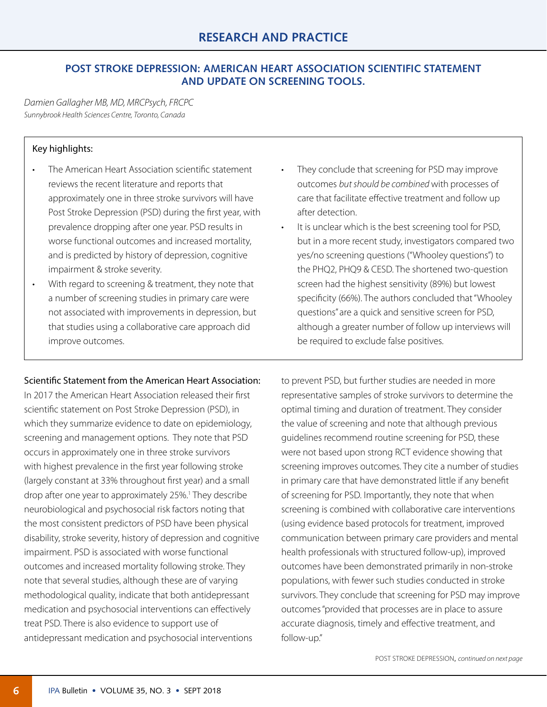## **POST STROKE DEPRESSION: AMERICAN HEART ASSOCIATION SCIENTIFIC STATEMENT AND UPDATE ON SCREENING TOOLS.**

*Damien Gallagher MB, MD, MRCPsych, FRCPC Sunnybrook Health Sciences Centre, Toronto, Canada*

#### Key highlights:

- The American Heart Association scientific statement reviews the recent literature and reports that approximately one in three stroke survivors will have Post Stroke Depression (PSD) during the first year, with prevalence dropping after one year. PSD results in worse functional outcomes and increased mortality, and is predicted by history of depression, cognitive impairment & stroke severity.
- With regard to screening & treatment, they note that a number of screening studies in primary care were not associated with improvements in depression, but that studies using a collaborative care approach did improve outcomes.

#### Scientific Statement from the American Heart Association:

In 2017 the American Heart Association released their first scientific statement on Post Stroke Depression (PSD), in which they summarize evidence to date on epidemiology, screening and management options. They note that PSD occurs in approximately one in three stroke survivors with highest prevalence in the first year following stroke (largely constant at 33% throughout first year) and a small drop after one year to approximately 25%.<sup>1</sup> They describe neurobiological and psychosocial risk factors noting that the most consistent predictors of PSD have been physical disability, stroke severity, history of depression and cognitive impairment. PSD is associated with worse functional outcomes and increased mortality following stroke. They note that several studies, although these are of varying methodological quality, indicate that both antidepressant medication and psychosocial interventions can effectively treat PSD. There is also evidence to support use of antidepressant medication and psychosocial interventions

- They conclude that screening for PSD may improve outcomes *but should be combined* with processes of care that facilitate effective treatment and follow up after detection.
- It is unclear which is the best screening tool for PSD, but in a more recent study, investigators compared two yes/no screening questions ("Whooley questions") to the PHQ2, PHQ9 & CESD. The shortened two-question screen had the highest sensitivity (89%) but lowest specificity (66%). The authors concluded that "Whooley questions" are a quick and sensitive screen for PSD, although a greater number of follow up interviews will be required to exclude false positives.

to prevent PSD, but further studies are needed in more representative samples of stroke survivors to determine the optimal timing and duration of treatment. They consider the value of screening and note that although previous guidelines recommend routine screening for PSD, these were not based upon strong RCT evidence showing that screening improves outcomes. They cite a number of studies in primary care that have demonstrated little if any benefit of screening for PSD. Importantly, they note that when screening is combined with collaborative care interventions (using evidence based protocols for treatment, improved communication between primary care providers and mental health professionals with structured follow-up), improved outcomes have been demonstrated primarily in non-stroke populations, with fewer such studies conducted in stroke survivors. They conclude that screening for PSD may improve outcomes "provided that processes are in place to assure accurate diagnosis, timely and effective treatment, and follow-up."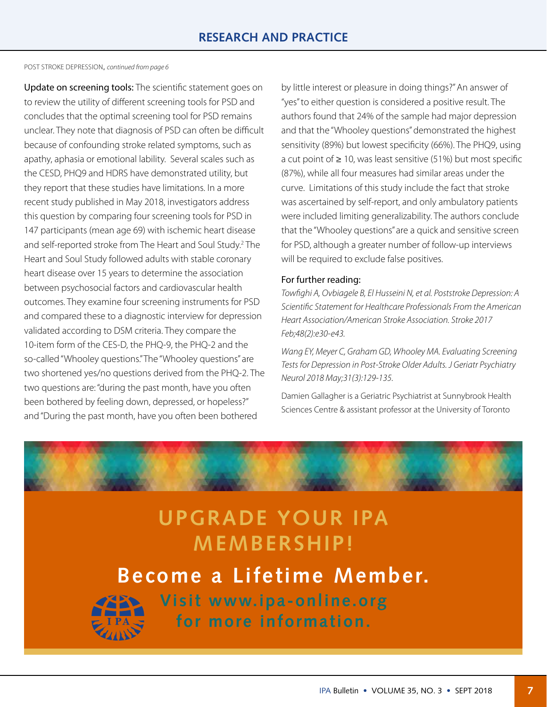POST STROKE DEPRESSION, *[continued from page](#page-0-0) 6*

Update on screening tools: The scientific statement goes on to review the utility of different screening tools for PSD and concludes that the optimal screening tool for PSD remains unclear. They note that diagnosis of PSD can often be difficult because of confounding stroke related symptoms, such as apathy, aphasia or emotional lability. Several scales such as the CESD, PHQ9 and HDRS have demonstrated utility, but they report that these studies have limitations. In a more recent study published in May 2018, investigators address this question by comparing four screening tools for PSD in 147 participants (mean age 69) with ischemic heart disease and self-reported stroke from The Heart and Soul Study.<sup>2</sup> The Heart and Soul Study followed adults with stable coronary heart disease over 15 years to determine the association between psychosocial factors and cardiovascular health outcomes. They examine four screening instruments for PSD and compared these to a diagnostic interview for depression validated according to DSM criteria. They compare the 10-item form of the CES-D, the PHQ-9, the PHQ-2 and the so-called "Whooley questions." The "Whooley questions" are two shortened yes/no questions derived from the PHQ-2. The two questions are: "during the past month, have you often been bothered by feeling down, depressed, or hopeless?" and "During the past month, have you often been bothered

by little interest or pleasure in doing things?" An answer of "yes" to either question is considered a positive result. The authors found that 24% of the sample had major depression and that the "Whooley questions" demonstrated the highest sensitivity (89%) but lowest specificity (66%). The PHQ9, using a cut point of ≥ 10, was least sensitive (51%) but most specific (87%), while all four measures had similar areas under the curve. Limitations of this study include the fact that stroke was ascertained by self-report, and only ambulatory patients were included limiting generalizability. The authors conclude that the "Whooley questions" are a quick and sensitive screen for PSD, although a greater number of follow-up interviews will be required to exclude false positives.

#### For further reading:

*Towfighi A, Ovbiagele B, El Husseini N, et al. Poststroke Depression: A Scientific Statement for Healthcare Professionals From the American Heart Association/American Stroke Association. Stroke 2017 Feb;48(2):e30-e43.*

*Wang EY, Meyer C, Graham GD, Whooley MA. Evaluating Screening Tests for Depression in Post-Stroke Older Adults. J Geriatr Psychiatry Neurol 2018 May;31(3):129-135.*

Damien Gallagher is a Geriatric Psychiatrist at Sunnybrook Health Sciences Centre & assistant professor at the University of Toronto



# **UPGRADE YOUR IPA MEMBERSHIP!**

**Become a Lifetime Member.**



**Visit [www.ipa-online.org](http://www.ipa-online.org/about-ipa/membership-in-ipa/lifetime-members) for more information.**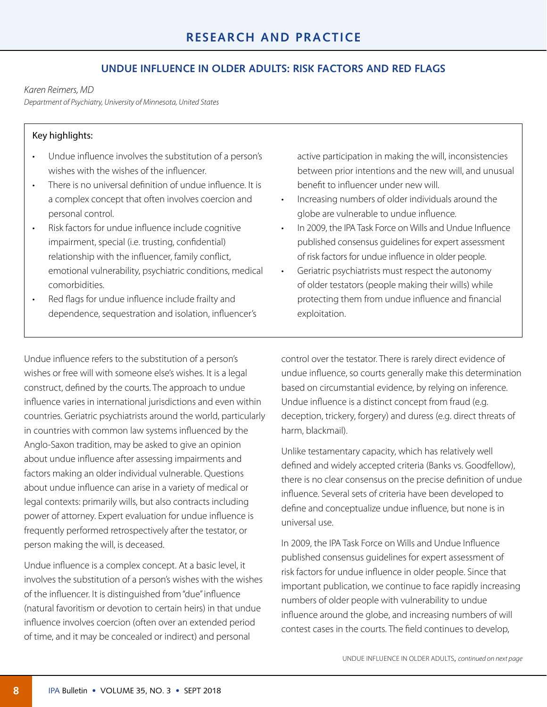## **UNDUE INFLUENCE IN OLDER ADULTS: RISK FACTORS AND RED FLAGS**

#### *Karen Reimers, MD*

*Department of Psychiatry, University of Minnesota, United States*

#### Key highlights:

- Undue influence involves the substitution of a person's wishes with the wishes of the influencer.
- There is no universal definition of undue influence. It is a complex concept that often involves coercion and personal control.
- Risk factors for undue influence include cognitive impairment, special (i.e. trusting, confidential) relationship with the influencer, family conflict, emotional vulnerability, psychiatric conditions, medical comorbidities.
- Red flags for undue influence include frailty and dependence, sequestration and isolation, influencer's

Undue influence refers to the substitution of a person's wishes or free will with someone else's wishes. It is a legal construct, defined by the courts. The approach to undue influence varies in international jurisdictions and even within countries. Geriatric psychiatrists around the world, particularly in countries with common law systems influenced by the Anglo-Saxon tradition, may be asked to give an opinion about undue influence after assessing impairments and factors making an older individual vulnerable. Questions about undue influence can arise in a variety of medical or legal contexts: primarily wills, but also contracts including power of attorney. Expert evaluation for undue influence is frequently performed retrospectively after the testator, or person making the will, is deceased.

Undue influence is a complex concept. At a basic level, it involves the substitution of a person's wishes with the wishes of the influencer. It is distinguished from "due" influence (natural favoritism or devotion to certain heirs) in that undue influence involves coercion (often over an extended period of time, and it may be concealed or indirect) and personal

active participation in making the will, inconsistencies between prior intentions and the new will, and unusual benefit to influencer under new will.

- Increasing numbers of older individuals around the globe are vulnerable to undue influence.
- In 2009, the IPA Task Force on Wills and Undue Influence published consensus guidelines for expert assessment of risk factors for undue influence in older people.
- Geriatric psychiatrists must respect the autonomy of older testators (people making their wills) while protecting them from undue influence and financial exploitation.

control over the testator. There is rarely direct evidence of undue influence, so courts generally make this determination based on circumstantial evidence, by relying on inference. Undue influence is a distinct concept from fraud (e.g. deception, trickery, forgery) and duress (e.g. direct threats of harm, blackmail).

Unlike testamentary capacity, which has relatively well defined and widely accepted criteria (Banks vs. Goodfellow), there is no clear consensus on the precise definition of undue influence. Several sets of criteria have been developed to define and conceptualize undue influence, but none is in universal use.

In 2009, the IPA Task Force on Wills and Undue Influence published consensus guidelines for expert assessment of risk factors for undue influence in older people. Since that important publication, we continue to face rapidly increasing numbers of older people with vulnerability to undue influence around the globe, and increasing numbers of will contest cases in the courts. The field continues to develop,

UNDUE INFLUENCE IN OLDER ADULTS, *[continued on next page](#page-0-0)*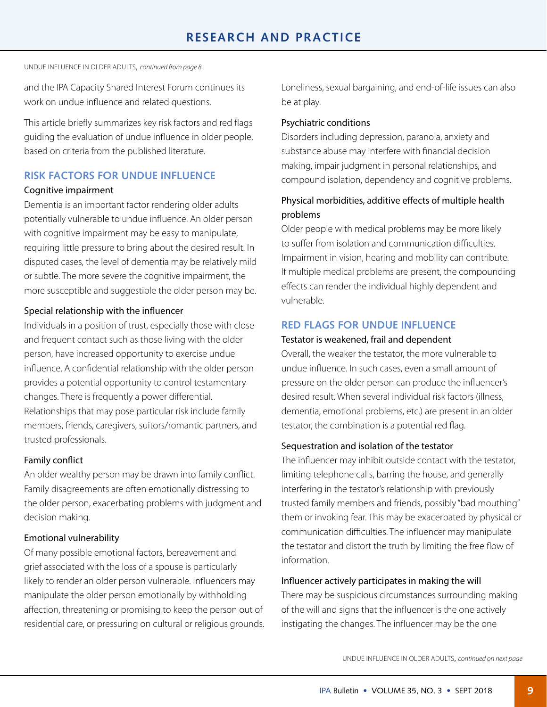UNDUE INFLUENCE IN OLDER ADULTS, *[continued from page 8](#page-0-0)*

and the IPA Capacity Shared Interest Forum continues its work on undue influence and related questions.

This article briefly summarizes key risk factors and red flags guiding the evaluation of undue influence in older people, based on criteria from the published literature.

## **RISK FACTORS FOR UNDUE INFLUENCE**

#### Cognitive impairment

Dementia is an important factor rendering older adults potentially vulnerable to undue influence. An older person with cognitive impairment may be easy to manipulate, requiring little pressure to bring about the desired result. In disputed cases, the level of dementia may be relatively mild or subtle. The more severe the cognitive impairment, the more susceptible and suggestible the older person may be.

#### Special relationship with the influencer

Individuals in a position of trust, especially those with close and frequent contact such as those living with the older person, have increased opportunity to exercise undue influence. A confidential relationship with the older person provides a potential opportunity to control testamentary changes. There is frequently a power differential. Relationships that may pose particular risk include family members, friends, caregivers, suitors/romantic partners, and trusted professionals.

#### Family conflict

An older wealthy person may be drawn into family conflict. Family disagreements are often emotionally distressing to the older person, exacerbating problems with judgment and decision making.

#### Emotional vulnerability

Of many possible emotional factors, bereavement and grief associated with the loss of a spouse is particularly likely to render an older person vulnerable. Influencers may manipulate the older person emotionally by withholding affection, threatening or promising to keep the person out of residential care, or pressuring on cultural or religious grounds. Loneliness, sexual bargaining, and end-of-life issues can also be at play.

#### Psychiatric conditions

Disorders including depression, paranoia, anxiety and substance abuse may interfere with financial decision making, impair judgment in personal relationships, and compound isolation, dependency and cognitive problems.

## Physical morbidities, additive effects of multiple health problems

Older people with medical problems may be more likely to suffer from isolation and communication difficulties. Impairment in vision, hearing and mobility can contribute. If multiple medical problems are present, the compounding effects can render the individual highly dependent and vulnerable.

#### **RED FLAGS FOR UNDUE INFLUENCE**

#### Testator is weakened, frail and dependent

Overall, the weaker the testator, the more vulnerable to undue influence. In such cases, even a small amount of pressure on the older person can produce the influencer's desired result. When several individual risk factors (illness, dementia, emotional problems, etc.) are present in an older testator, the combination is a potential red flag.

#### Sequestration and isolation of the testator

The influencer may inhibit outside contact with the testator, limiting telephone calls, barring the house, and generally interfering in the testator's relationship with previously trusted family members and friends, possibly "bad mouthing" them or invoking fear. This may be exacerbated by physical or communication difficulties. The influencer may manipulate the testator and distort the truth by limiting the free flow of information.

#### Influencer actively participates in making the will

There may be suspicious circumstances surrounding making of the will and signs that the influencer is the one actively instigating the changes. The influencer may be the one

UNDUE INFLUENCE IN OLDER ADULTS, *[continued on next page](#page-0-0)*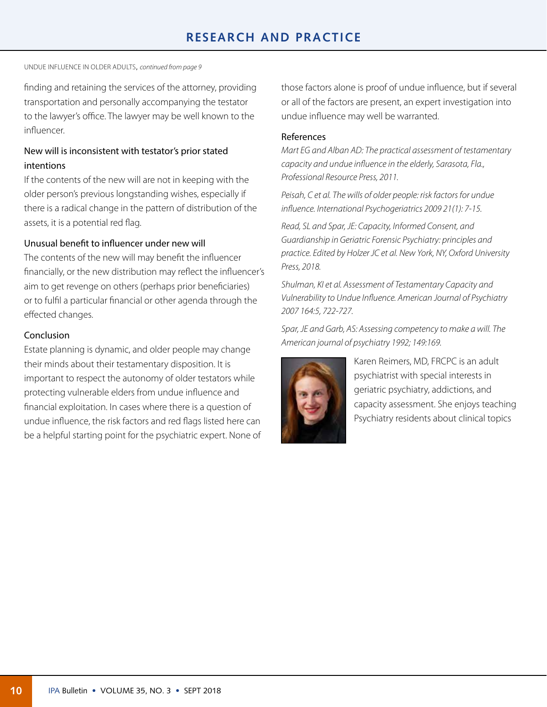## **RESEARCH AND PRACTICE**

UNDUE INFLUENCE IN OLDER ADULTS, *[continued from page 9](#page-0-0)*

finding and retaining the services of the attorney, providing transportation and personally accompanying the testator to the lawyer's office. The lawyer may be well known to the influencer.

#### New will is inconsistent with testator's prior stated intentions

If the contents of the new will are not in keeping with the older person's previous longstanding wishes, especially if there is a radical change in the pattern of distribution of the assets, it is a potential red flag.

#### Unusual benefit to influencer under new will

The contents of the new will may benefit the influencer financially, or the new distribution may reflect the influencer's aim to get revenge on others (perhaps prior beneficiaries) or to fulfil a particular financial or other agenda through the effected changes.

#### Conclusion

Estate planning is dynamic, and older people may change their minds about their testamentary disposition. It is important to respect the autonomy of older testators while protecting vulnerable elders from undue influence and financial exploitation. In cases where there is a question of undue influence, the risk factors and red flags listed here can be a helpful starting point for the psychiatric expert. None of those factors alone is proof of undue influence, but if several or all of the factors are present, an expert investigation into undue influence may well be warranted.

#### References

*Mart EG and Alban AD: The practical assessment of testamentary capacity and undue influence in the elderly, Sarasota, Fla., Professional Resource Press, 2011.*

*Peisah, C et al. The wills of older people: risk factors for undue influence. International Psychogeriatrics 2009 21(1): 7-15.*

*Read, SL and Spar, JE: Capacity, Informed Consent, and Guardianship in Geriatric Forensic Psychiatry: principles and practice. Edited by Holzer JC et al. New York, NY, Oxford University Press, 2018.*

*Shulman, KI et al. Assessment of Testamentary Capacity and Vulnerability to Undue Influence. American Journal of Psychiatry 2007 164:5, 722-727.*

*Spar, JE and Garb, AS: Assessing competency to make a will. The American journal of psychiatry 1992; 149:169.*



Karen Reimers, MD, FRCPC is an adult psychiatrist with special interests in geriatric psychiatry, addictions, and capacity assessment. She enjoys teaching Psychiatry residents about clinical topics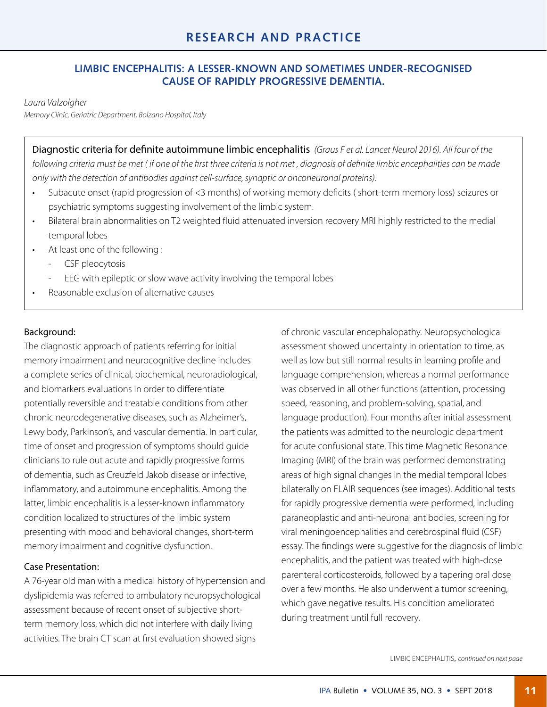#### **LIMBIC ENCEPHALITIS: A LESSER-KNOWN AND SOMETIMES UNDER-RECOGNISED CAUSE OF RAPIDLY PROGRESSIVE DEMENTIA.**

#### *Laura Valzolgher*

*Memory Clinic, Geriatric Department, Bolzano Hospital, Italy*

Diagnostic criteria for definite autoimmune limbic encephalitis *(Graus F et al. Lancet Neurol 2016). All four of the following criteria must be met ( if one of the first three criteria is not met , diagnosis of definite limbic encephalities can be made only with the detection of antibodies against cell-surface, synaptic or onconeuronal proteins):*

- Subacute onset (rapid progression of <3 months) of working memory deficits ( short-term memory loss) seizures or psychiatric symptoms suggesting involvement of the limbic system.
- Bilateral brain abnormalities on T2 weighted fluid attenuated inversion recovery MRI highly restricted to the medial temporal lobes
- At least one of the following :
	- CSF pleocytosis
	- EEG with epileptic or slow wave activity involving the temporal lobes
- Reasonable exclusion of alternative causes

#### Background:

The diagnostic approach of patients referring for initial memory impairment and neurocognitive decline includes a complete series of clinical, biochemical, neuroradiological, and biomarkers evaluations in order to differentiate potentially reversible and treatable conditions from other chronic neurodegenerative diseases, such as Alzheimer's, Lewy body, Parkinson's, and vascular dementia. In particular, time of onset and progression of symptoms should guide clinicians to rule out acute and rapidly progressive forms of dementia, such as Creuzfeld Jakob disease or infective, inflammatory, and autoimmune encephalitis. Among the latter, limbic encephalitis is a lesser-known inflammatory condition localized to structures of the limbic system presenting with mood and behavioral changes, short-term memory impairment and cognitive dysfunction.

#### Case Presentation:

A 76-year old man with a medical history of hypertension and dyslipidemia was referred to ambulatory neuropsychological assessment because of recent onset of subjective shortterm memory loss, which did not interfere with daily living activities. The brain CT scan at first evaluation showed signs

of chronic vascular encephalopathy. Neuropsychological assessment showed uncertainty in orientation to time, as well as low but still normal results in learning profile and language comprehension, whereas a normal performance was observed in all other functions (attention, processing speed, reasoning, and problem-solving, spatial, and language production). Four months after initial assessment the patients was admitted to the neurologic department for acute confusional state. This time Magnetic Resonance Imaging (MRI) of the brain was performed demonstrating areas of high signal changes in the medial temporal lobes bilaterally on FLAIR sequences (see images). Additional tests for rapidly progressive dementia were performed, including paraneoplastic and anti-neuronal antibodies, screening for viral meningoencephalities and cerebrospinal fluid (CSF) essay. The findings were suggestive for the diagnosis of limbic encephalitis, and the patient was treated with high-dose parenteral corticosteroids, followed by a tapering oral dose over a few months. He also underwent a tumor screening, which gave negative results. His condition ameliorated during treatment until full recovery.

LIMBIC ENCEPHALITIS, *[continued on next page](#page-0-0)*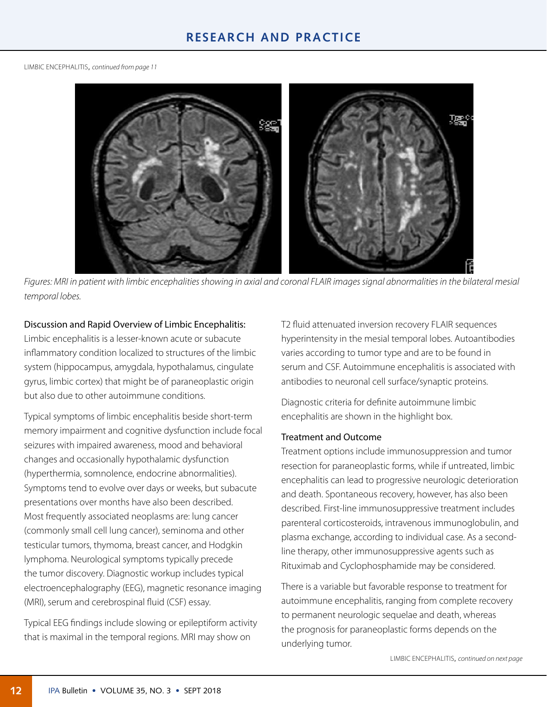LIMBIC ENCEPHALITIS, *[continued from page](#page-0-0) 11*



*Figures: MRI in patient with limbic encephalities showing in axial and coronal FLAIR images signal abnormalities in the bilateral mesial temporal lobes.* 

#### Discussion and Rapid Overview of Limbic Encephalitis:

Limbic encephalitis is a lesser-known acute or subacute inflammatory condition localized to structures of the limbic system (hippocampus, amygdala, hypothalamus, cingulate gyrus, limbic cortex) that might be of paraneoplastic origin but also due to other autoimmune conditions.

Typical symptoms of limbic encephalitis beside short-term memory impairment and cognitive dysfunction include focal seizures with impaired awareness, mood and behavioral changes and occasionally hypothalamic dysfunction (hyperthermia, somnolence, endocrine abnormalities). Symptoms tend to evolve over days or weeks, but subacute presentations over months have also been described. Most frequently associated neoplasms are: lung cancer (commonly small cell lung cancer), seminoma and other testicular tumors, thymoma, breast cancer, and Hodgkin lymphoma. Neurological symptoms typically precede the tumor discovery. Diagnostic workup includes typical electroencephalography (EEG), magnetic resonance imaging (MRI), serum and cerebrospinal fluid (CSF) essay.

Typical EEG findings include slowing or epileptiform activity that is maximal in the temporal regions. MRI may show on

T2 fluid attenuated inversion recovery FLAIR sequences hyperintensity in the mesial temporal lobes. Autoantibodies varies according to tumor type and are to be found in serum and CSF. Autoimmune encephalitis is associated with antibodies to neuronal cell surface/synaptic proteins.

Diagnostic criteria for definite autoimmune limbic encephalitis are shown in the highlight box.

#### Treatment and Outcome

Treatment options include immunosuppression and tumor resection for paraneoplastic forms, while if untreated, limbic encephalitis can lead to progressive neurologic deterioration and death. Spontaneous recovery, however, has also been described. First-line immunosuppressive treatment includes parenteral corticosteroids, intravenous immunoglobulin, and plasma exchange, according to individual case. As a secondline therapy, other immunosuppressive agents such as Rituximab and Cyclophosphamide may be considered.

There is a variable but favorable response to treatment for autoimmune encephalitis, ranging from complete recovery to permanent neurologic sequelae and death, whereas the prognosis for paraneoplastic forms depends on the underlying tumor.

LIMBIC ENCEPHALITIS, *[continued on next page](#page-0-0)*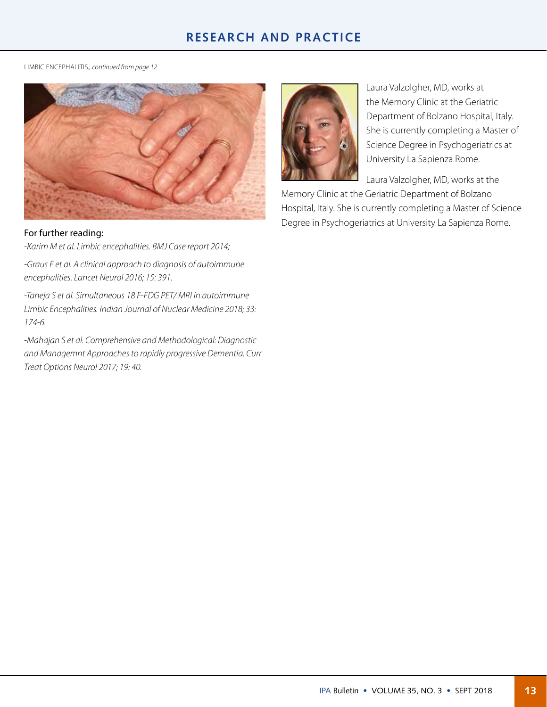## **RESEARCH AND PRACTICE**

LIMBIC ENCEPHALITIS, *[continued from page](#page-0-0) 12*



#### For further reading:

*-Karim M et al. Limbic encephalities. BMJ Case report 2014;*

*-Graus F et al. A clinical approach to diagnosis of autoimmune encephalities. Lancet Neurol 2016; 15: 391.*

*-Taneja S et al. Simultaneous 18 F-FDG PET/ MRI in autoimmune Limbic Encephalities. Indian Journal of Nuclear Medicine 2018; 33: 174-6.*

*-Mahajan S et al. Comprehensive and Methodological: Diagnostic and Managemnt Approaches to rapidly progressive Dementia. Curr Treat Options Neurol 2017; 19: 40.* 



Laura Valzolgher, MD, works at the Memory Clinic at the Geriatric Department of Bolzano Hospital, Italy. She is currently completing a Master of Science Degree in Psychogeriatrics at University La Sapienza Rome.

Laura Valzolgher, MD, works at the Memory Clinic at the Geriatric Department of Bolzano

Hospital, Italy. She is currently completing a Master of Science Degree in Psychogeriatrics at University La Sapienza Rome.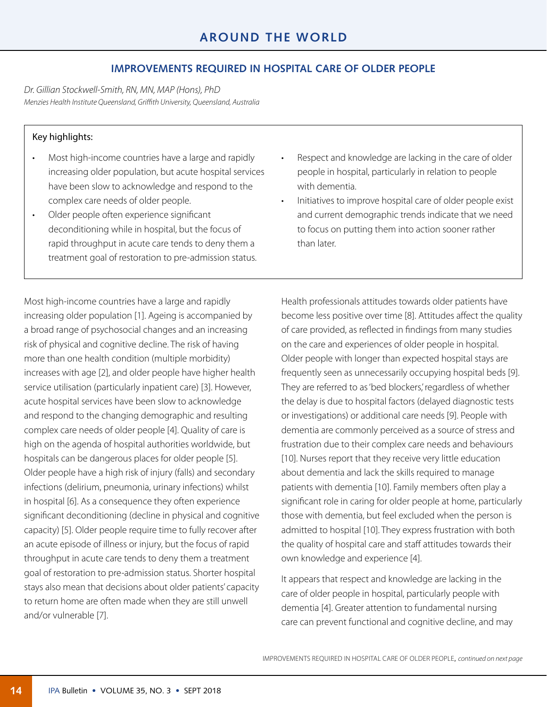#### **IMPROVEMENTS REQUIRED IN HOSPITAL CARE OF OLDER PEOPLE**

*Dr. Gillian Stockwell-Smith, RN, MN, MAP (Hons), PhD Menzies Health Institute Queensland, Griffith University, Queensland, Australia*

#### Key highlights:

- Most high-income countries have a large and rapidly increasing older population, but acute hospital services have been slow to acknowledge and respond to the complex care needs of older people.
- Older people often experience significant deconditioning while in hospital, but the focus of rapid throughput in acute care tends to deny them a treatment goal of restoration to pre-admission status.
- Respect and knowledge are lacking in the care of older people in hospital, particularly in relation to people with dementia.
- Initiatives to improve hospital care of older people exist and current demographic trends indicate that we need to focus on putting them into action sooner rather than later.

Most high-income countries have a large and rapidly increasing older population [1]. Ageing is accompanied by a broad range of psychosocial changes and an increasing risk of physical and cognitive decline. The risk of having more than one health condition (multiple morbidity) increases with age [2], and older people have higher health service utilisation (particularly inpatient care) [3]. However, acute hospital services have been slow to acknowledge and respond to the changing demographic and resulting complex care needs of older people [4]. Quality of care is high on the agenda of hospital authorities worldwide, but hospitals can be dangerous places for older people [5]. Older people have a high risk of injury (falls) and secondary infections (delirium, pneumonia, urinary infections) whilst in hospital [6]. As a consequence they often experience significant deconditioning (decline in physical and cognitive capacity) [5]. Older people require time to fully recover after an acute episode of illness or injury, but the focus of rapid throughput in acute care tends to deny them a treatment goal of restoration to pre-admission status. Shorter hospital stays also mean that decisions about older patients' capacity to return home are often made when they are still unwell and/or vulnerable [7].

Health professionals attitudes towards older patients have become less positive over time [8]. Attitudes affect the quality of care provided, as reflected in findings from many studies on the care and experiences of older people in hospital. Older people with longer than expected hospital stays are frequently seen as unnecessarily occupying hospital beds [9]. They are referred to as 'bed blockers', regardless of whether the delay is due to hospital factors (delayed diagnostic tests or investigations) or additional care needs [9]. People with dementia are commonly perceived as a source of stress and frustration due to their complex care needs and behaviours [10]. Nurses report that they receive very little education about dementia and lack the skills required to manage patients with dementia [10]. Family members often play a significant role in caring for older people at home, particularly those with dementia, but feel excluded when the person is admitted to hospital [10]. They express frustration with both the quality of hospital care and staff attitudes towards their own knowledge and experience [4].

It appears that respect and knowledge are lacking in the care of older people in hospital, particularly people with dementia [4]. Greater attention to fundamental nursing care can prevent functional and cognitive decline, and may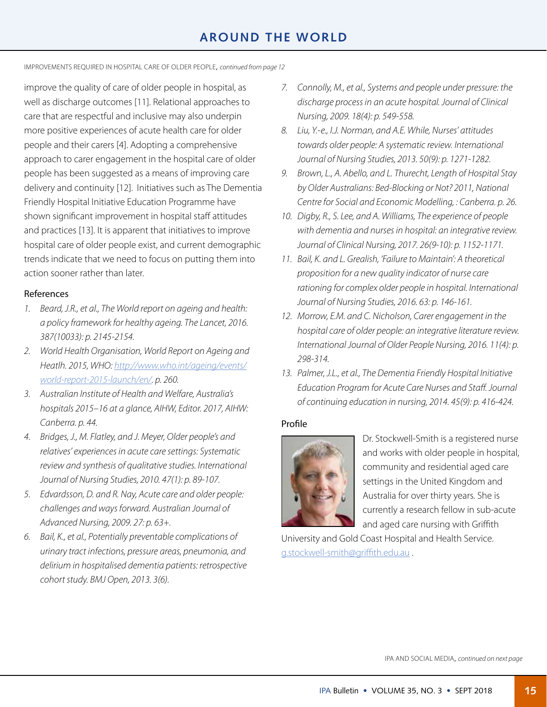## **AROUND THE WORLD**

IMPROVEMENTS REQUIRED IN HOSPITAL CARE OF OLDER PEOPLE, *[continued from page](#page-0-0) 12*

improve the quality of care of older people in hospital, as well as discharge outcomes [11]. Relational approaches to care that are respectful and inclusive may also underpin more positive experiences of acute health care for older people and their carers [4]. Adopting a comprehensive approach to carer engagement in the hospital care of older people has been suggested as a means of improving care delivery and continuity [12]. Initiatives such as The Dementia Friendly Hospital Initiative Education Programme have shown significant improvement in hospital staff attitudes and practices [13]. It is apparent that initiatives to improve hospital care of older people exist, and current demographic trends indicate that we need to focus on putting them into action sooner rather than later.

#### References

- *1. Beard, J.R., et al., The World report on ageing and health: a policy framework for healthy ageing. The Lancet, 2016. 387(10033): p. 2145-2154.*
- *2. World Health Organisation, World Report on Ageing and Heatlh. 2015, WHO: [http://www.who.int/ageing/events/](http://www.who.int/ageing/events/world-report-2015-launch/en/) [world-report-2015-launch/en/.](http://www.who.int/ageing/events/world-report-2015-launch/en/) p. 260.*
- *3. Australian Institute of Health and Welfare, Australia's hospitals 2015–16 at a glance, AIHW, Editor. 2017, AIHW: Canberra. p. 44.*
- *4. Bridges, J., M. Flatley, and J. Meyer, Older people's and relatives' experiences in acute care settings: Systematic review and synthesis of qualitative studies. International Journal of Nursing Studies, 2010. 47(1): p. 89-107.*
- *5. Edvardsson, D. and R. Nay, Acute care and older people: challenges and ways forward. Australian Journal of Advanced Nursing, 2009. 27: p. 63+.*
- *6. Bail, K., et al., Potentially preventable complications of urinary tract infections, pressure areas, pneumonia, and delirium in hospitalised dementia patients: retrospective cohort study. BMJ Open, 2013. 3(6).*
- *7. Connolly, M., et al., Systems and people under pressure: the discharge process in an acute hospital. Journal of Clinical Nursing, 2009. 18(4): p. 549-558.*
- *8. Liu, Y.-e., I.J. Norman, and A.E. While, Nurses' attitudes towards older people: A systematic review. International Journal of Nursing Studies, 2013. 50(9): p. 1271-1282.*
- *9. Brown, L., A. Abello, and L. Thurecht, Length of Hospital Stay by Older Australians: Bed-Blocking or Not? 2011, National Centre for Social and Economic Modelling, : Canberra. p. 26.*
- *10. Digby, R., S. Lee, and A. Williams, The experience of people with dementia and nurses in hospital: an integrative review. Journal of Clinical Nursing, 2017. 26(9-10): p. 1152-1171.*
- *11. Bail, K. and L. Grealish, 'Failure to Maintain': A theoretical proposition for a new quality indicator of nurse care rationing for complex older people in hospital. International Journal of Nursing Studies, 2016. 63: p. 146-161.*
- *12. Morrow, E.M. and C. Nicholson, Carer engagement in the hospital care of older people: an integrative literature review. International Journal of Older People Nursing, 2016. 11(4): p. 298-314.*
- *13. Palmer, J.L., et al., The Dementia Friendly Hospital Initiative Education Program for Acute Care Nurses and Staff. Journal of continuing education in nursing, 2014. 45(9): p. 416-424.*

#### Profile



Dr. Stockwell-Smith is a registered nurse and works with older people in hospital, community and residential aged care settings in the United Kingdom and Australia for over thirty years. She is currently a research fellow in sub-acute and aged care nursing with Griffith

University and Gold Coast Hospital and Health Service. [g.stockwell-smith@griffith.edu.au](mailto:g.stockwell-smith@griffith.edu.au) .

IPA AND SOCIAL MEDIA, *[continued on next page](#page-0-0)*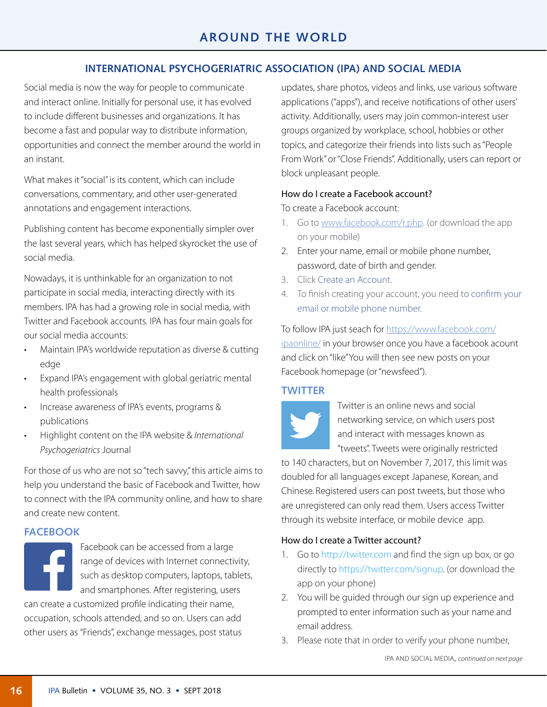## **INTERNATIONAL PSYCHOGERIATRIC ASSOCIATION (IPA) AND SOCIAL MEDIA**

Social media is now the way for people to communicate and interact online. Initially for personal use, it has evolved to include different businesses and organizations. It has become a fast and popular way to distribute information, opportunities and connect the member around the world in an instant.

What makes it "social" is its content, which can include conversations, commentary, and other user-generated annotations and engagement interactions.

Publishing content has become exponentially simpler over the last several years, which has helped skyrocket the use of social media.

Nowadays, it is unthinkable for an organization to not participate in social media, interacting directly with its members. IPA has had a growing role in social media, with Twitter and Facebook accounts. IPA has four main goals for our social media accounts:

- Maintain IPA's worldwide reputation as diverse & cutting edge
- Expand IPA's engagement with global geriatric mental health professionals
- Increase awareness of IPA's events, programs & publications
- Highlight content on the IPA website & *International Psychogeriatrics* Journal

For those of us who are not so "tech savvy," this article aims to help you understand the basic of Facebook and Twitter, how to connect with the IPA community online, and how to share and create new content.

#### **FACEBOOK**

Facebook can be accessed from a large range of devices with Internet connectivity, such as desktop computers, laptops, tablets, and smartphones. After registering, users can create a customized profile indicating their name, occupation, schools attended, and so on. Users can add other users as "Friends", exchange messages, post status

updates, share photos, videos and links, use various software applications ("apps"), and receive notifications of other users' activity. Additionally, users may join common-interest user groups organized by workplace, school, hobbies or other topics, and categorize their friends into lists such as "People From Work" or "Close Friends". Additionally, users can report or block unpleasant people.

#### How do I create a Facebook account?

To create a Facebook account:

- 1. Go to [www.facebook.com/r.php.](http://www.facebook.com/r.php) (or download the app on your mobile)
- 2. Enter your name, email or mobile phone number, password, date of birth and gender.
- 3. Click Create an Account.
- 4. To finish creating your account, you need to confirm your email or mobile phone number.

To follow IPA just seach for [https://www.facebook.com/](https://www.facebook.com/ipaonline/) [ipaonline/](https://www.facebook.com/ipaonline/) in your browser once you have a facebook acount and click on "like" You will then see new posts on your Facebook homepage (or "newsfeed").

#### **TWITTER**



Twitter is an online news and social networking service, on which users post and interact with messages known as "tweets". Tweets were originally restricted

to 140 characters, but on November 7, 2017, this limit was doubled for all languages except Japanese, Korean, and Chinese. Registered users can post tweets, but those who are unregistered can only read them. Users access Twitter through its website interface, or mobile device app.

#### How do I create a Twitter account?

- 1. Go to http://twitter.com and find the sign up box, or go directly to https://twitter.com/signup. (or download the app on your phone)
- 2. You will be guided through our sign up experience and prompted to enter information such as your name and email address.
- 3. Please note that in order to verify your phone number,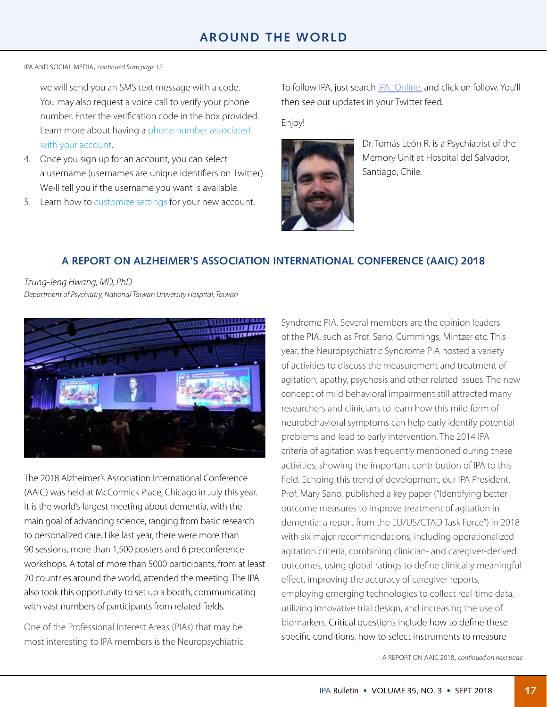IPA AND SOCIAL MEDIA, *[continued from page](#page-0-0) 12*

we will send you an SMS text message with a code. You may also request a voice call to verify your phone number. Enter the verification code in the box provided. Learn more about having a phone number associated with your account.

- 4. Once you sign up for an account, you can select a username (usernames are unique identifiers on Twitter). We›ll tell you if the username you want is available.
- 5. Learn how to customize settings for your new account.

To follow IPA, just search [IPA\\_Online,](https://twitter.com/IPA_Online) and click on follow. You'll then see our updates in your Twitter feed.

Enjoy!



Dr. Tomás León R. is a Psychiatrist of the Memory Unit at Hospital del Salvador, Santiago, Chile.

## **A REPORT ON ALZHEIMER'S ASSOCIATION INTERNATIONAL CONFERENCE (AAIC) 2018**

*Tzung-Jeng Hwang, MD, PhD Department of Psychiatry, National Taiwan University Hospital, Taiwan*



The 2018 Alzheimer's Association International Conference (AAIC) was held at McCormick Place, Chicago in July this year. It is the world's largest meeting about dementia, with the main goal of advancing science, ranging from basic research to personalized care. Like last year, there were more than 90 sessions, more than 1,500 posters and 6 preconference workshops. A total of more than 5000 participants, from at least 70 countries around the world, attended the meeting. The IPA also took this opportunity to set up a booth, communicating with vast numbers of participants from related fields.

One of the Professional Interest Areas (PIAs) that may be most interesting to IPA members is the Neuropsychiatric Syndrome PIA. Several members are the opinion leaders of the PIA, such as Prof. Sano, Cummings, Mintzer etc. This year, the Neuropsychiatric Syndrome PIA hosted a variety of activities to discuss the measurement and treatment of agitation, apathy, psychosis and other related issues. The new concept of mild behavioral impairment still attracted many researchers and clinicians to learn how this mild form of neurobehavioral symptoms can help early identify potential problems and lead to early intervention. The 2014 IPA criteria of agitation was frequently mentioned during these activities, showing the important contribution of IPA to this field. Echoing this trend of development, our IPA President, Prof. Mary Sano, published a key paper ("Identifying better outcome measures to improve treatment of agitation in dementia: a report from the EU/US/CTAD Task Force") in 2018 with six major recommendations, including operationalized agitation criteria, combining clinician- and caregiver-derived outcomes, using global ratings to define clinically meaningful effect, improving the accuracy of caregiver reports, employing emerging technologies to collect real-time data, utilizing innovative trial design, and increasing the use of biomarkers. Critical questions include how to define these specific conditions, how to select instruments to measure

A REPORT ON AAIC 2018, *[continued on next page](#page-0-0)*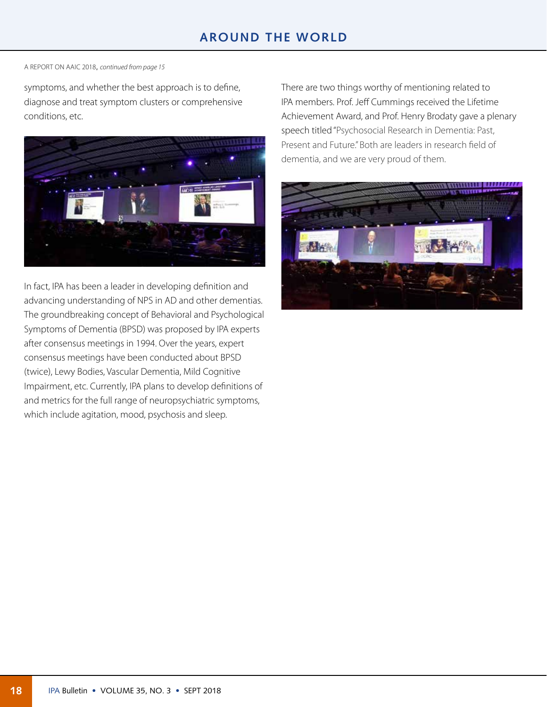## **AROUND THE WORLD**

A REPORT ON AAIC 2018, *[continued from page](#page-0-0) 15*

symptoms, and whether the best approach is to define, diagnose and treat symptom clusters or comprehensive conditions, etc.



In fact, IPA has been a leader in developing definition and advancing understanding of NPS in AD and other dementias. The groundbreaking concept of Behavioral and Psychological Symptoms of Dementia (BPSD) was proposed by IPA experts after consensus meetings in 1994. Over the years, expert consensus meetings have been conducted about BPSD (twice), Lewy Bodies, Vascular Dementia, Mild Cognitive Impairment, etc. Currently, IPA plans to develop definitions of and metrics for the full range of neuropsychiatric symptoms, which include agitation, mood, psychosis and sleep.

There are two things worthy of mentioning related to IPA members. Prof. Jeff Cummings received the Lifetime Achievement Award, and Prof. Henry Brodaty gave a plenary speech titled "Psychosocial Research in Dementia: Past, Present and Future." Both are leaders in research field of dementia, and we are very proud of them.

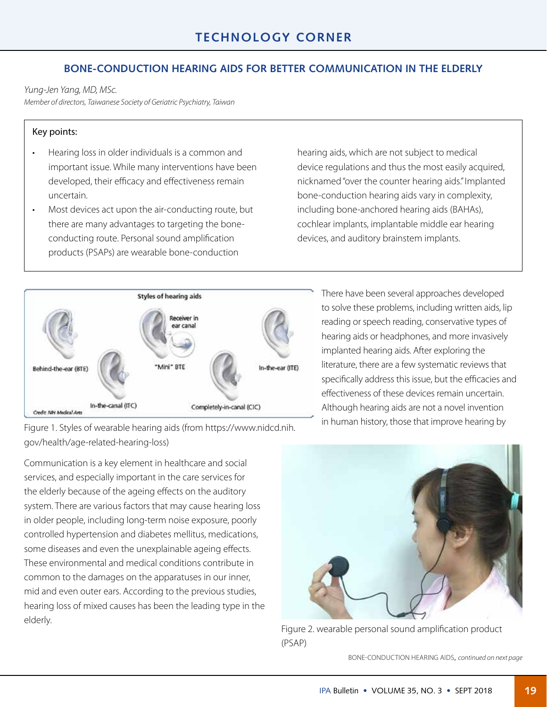## **BONE-CONDUCTION HEARING AIDS FOR BETTER COMMUNICATION IN THE ELDERLY**

*Yung-Jen Yang, MD, MSc.*

*Member of directors, Taiwanese Society of Geriatric Psychiatry, Taiwan*

#### Key points:

- Hearing loss in older individuals is a common and important issue. While many interventions have been developed, their efficacy and effectiveness remain uncertain.
- Most devices act upon the air-conducting route, but there are many advantages to targeting the boneconducting route. Personal sound amplification products (PSAPs) are wearable bone-conduction

hearing aids, which are not subject to medical device regulations and thus the most easily acquired, nicknamed "over the counter hearing aids." Implanted bone-conduction hearing aids vary in complexity, including bone-anchored hearing aids (BAHAs), cochlear implants, implantable middle ear hearing devices, and auditory brainstem implants.



There have been several approaches developed to solve these problems, including written aids, lip reading or speech reading, conservative types of hearing aids or headphones, and more invasively implanted hearing aids. After exploring the literature, there are a few systematic reviews that specifically address this issue, but the efficacies and effectiveness of these devices remain uncertain. Although hearing aids are not a novel invention

Figure 1. Styles of wearable hearing aids (from https://www.nidcd.nih. in human history, those that improve hearing by gov/health/age-related-hearing-loss)

Communication is a key element in healthcare and social services, and especially important in the care services for the elderly because of the ageing effects on the auditory system. There are various factors that may cause hearing loss in older people, including long-term noise exposure, poorly controlled hypertension and diabetes mellitus, medications, some diseases and even the unexplainable ageing effects. These environmental and medical conditions contribute in common to the damages on the apparatuses in our inner, mid and even outer ears. According to the previous studies, hearing loss of mixed causes has been the leading type in the elderly.



Figure 2. wearable personal sound amplification product (PSAP)

BONE-CONDUCTION HEARING AIDS, *[continued on next page](#page-0-0)*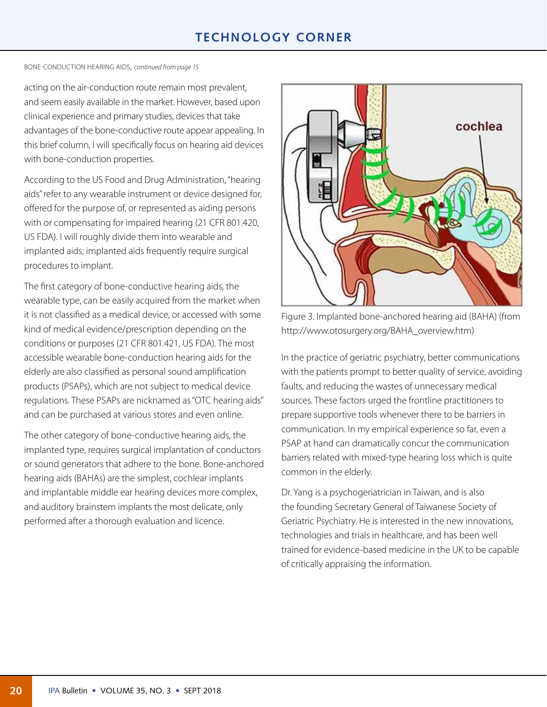## **TECHNOLOGY CORNER**

#### BONE-CONDUCTION HEARING AIDS, *[continued from page](#page-0-0) 15*

acting on the air-conduction route remain most prevalent, and seem easily available in the market. However, based upon clinical experience and primary studies, devices that take advantages of the bone-conductive route appear appealing. In this brief column, I will specifically focus on hearing aid devices with bone-conduction properties.

According to the US Food and Drug Administration, "hearing aids" refer to any wearable instrument or device designed for, offered for the purpose of, or represented as aiding persons with or compensating for impaired hearing (21 CFR 801.420, US FDA). I will roughly divide them into wearable and implanted aids; implanted aids frequently require surgical procedures to implant.

The first category of bone-conductive hearing aids, the wearable type, can be easily acquired from the market when it is not classified as a medical device, or accessed with some kind of medical evidence/prescription depending on the conditions or purposes (21 CFR 801.421, US FDA). The most accessible wearable bone-conduction hearing aids for the elderly are also classified as personal sound amplification products (PSAPs), which are not subject to medical device regulations. These PSAPs are nicknamed as "OTC hearing aids" and can be purchased at various stores and even online.

The other category of bone-conductive hearing aids, the implanted type, requires surgical implantation of conductors or sound generators that adhere to the bone. Bone-anchored hearing aids (BAHAs) are the simplest, cochlear implants and implantable middle ear hearing devices more complex, and auditory brainstem implants the most delicate, only performed after a thorough evaluation and licence.



Figure 3. Implanted bone-anchored hearing aid (BAHA) (from http://www.otosurgery.org/BAHA\_overview.htm)

In the practice of geriatric psychiatry, better communications with the patients prompt to better quality of service, avoiding faults, and reducing the wastes of unnecessary medical sources. These factors urged the frontline practitioners to prepare supportive tools whenever there to be barriers in communication. In my empirical experience so far, even a PSAP at hand can dramatically concur the communication barriers related with mixed-type hearing loss which is quite common in the elderly.

Dr. Yang is a psychogeriatrician in Taiwan, and is also the founding Secretary General of Taiwanese Society of Geriatric Psychiatry. He is interested in the new innovations, technologies and trials in healthcare, and has been well trained for evidence-based medicine in the UK to be capable of critically appraising the information.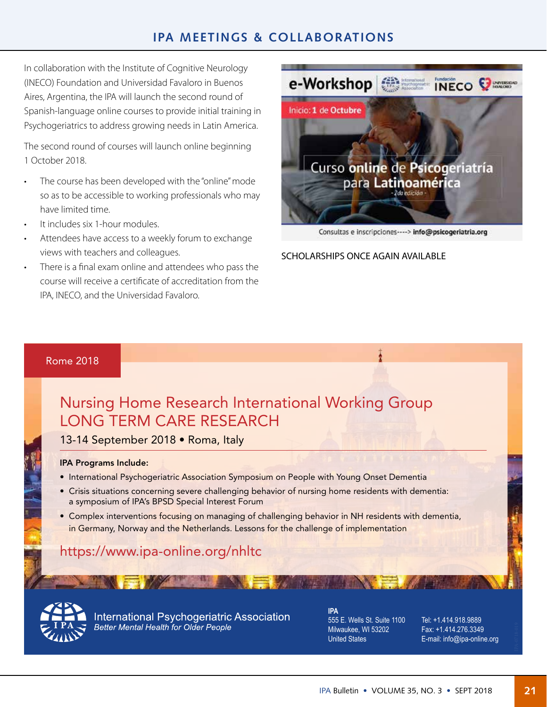## **IPA MEETINGS & COLLABORATIONS**

In collaboration with the Institute of Cognitive Neurology (INECO) Foundation and Universidad Favaloro in Buenos Aires, Argentina, the IPA will launch the second round of Spanish-language online courses to provide initial training in Psychogeriatrics to address growing needs in Latin America.

The second round of courses will launch online beginning 1 October 2018.

- The course has been developed with the "online" mode so as to be accessible to working professionals who may have limited time.
- It includes six 1-hour modules.
- Attendees have access to a weekly forum to exchange views with teachers and colleagues.
- There is a final exam online and attendees who pass the course will receive a certificate of accreditation from the IPA, INECO, and the Universidad Favaloro.



Consultas e inscripciones----> info@psicogeriatria.org

SCHOLARSHIPS ONCE AGAIN AVAILABLE

Į

#### Rome 2018

# Nursing Home Research International Working Group LONG TERM CARE RESEARCH

13-14 September 2018 • Roma, Italy

#### IPA Programs Include:

- International Psychogeriatric Association Symposium on People with Young Onset Dementia
- Crisis situations concerning severe challenging behavior of nursing home residents with dementia: a symposium of IPA's BPSD Special Interest Forum
- Complex interventions focusing on managing of challenging behavior in NH residents with dementia, in Germany, Norway and the Netherlands. Lessons for the challenge of implementation

## https://www.ipa-online.org/nhltc



International Psychogeriatric Association **Better Mental Health for Older People** 

**IPA** 555 E. Wells St. Suite 1100 Milwaukee, WI 53202 United States

Tel: +1.414.918.9889 Fax: +1.414.276.3349 E-mail: info@ipa-online.org